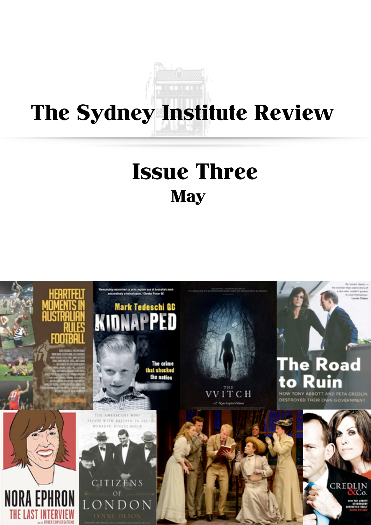# The Sydney Institute Review

## **May** Issue Three

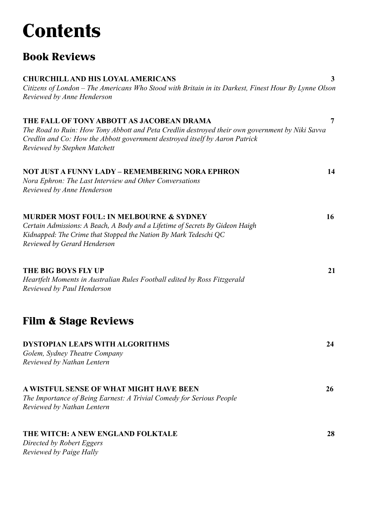## **Contents**

### Book Reviews

| <b>CHURCHILL AND HIS LOYAL AMERICANS</b><br>Citizens of London - The Americans Who Stood with Britain in its Darkest, Finest Hour By Lynne Olson                                                                      | 3              |
|-----------------------------------------------------------------------------------------------------------------------------------------------------------------------------------------------------------------------|----------------|
| Reviewed by Anne Henderson                                                                                                                                                                                            |                |
| THE FALL OF TONY ABBOTT AS JACOBEAN DRAMA                                                                                                                                                                             | $\overline{7}$ |
| The Road to Ruin: How Tony Abbott and Peta Credlin destroyed their own government by Niki Savva<br>Credlin and Co: How the Abbott government destroyed itself by Aaron Patrick<br><b>Reviewed by Stephen Matchett</b> |                |
| NOT JUST A FUNNY LADY – REMEMBERING NORA EPHRON                                                                                                                                                                       | 14             |
| Nora Ephron: The Last Interview and Other Conversations<br>Reviewed by Anne Henderson                                                                                                                                 |                |
| <b>MURDER MOST FOUL: IN MELBOURNE &amp; SYDNEY</b>                                                                                                                                                                    | 16             |
| Certain Admissions: A Beach, A Body and a Lifetime of Secrets By Gideon Haigh<br>Kidnapped: The Crime that Stopped the Nation By Mark Tedeschi QC<br>Reviewed by Gerard Henderson                                     |                |
| THE BIG BOYS FLY UP                                                                                                                                                                                                   | 21             |
| Heartfelt Moments in Australian Rules Football edited by Ross Fitzgerald<br>Reviewed by Paul Henderson                                                                                                                |                |
| <b>Film &amp; Stage Reviews</b>                                                                                                                                                                                       |                |
| <b>DYSTOPIAN LEAPS WITH ALGORITHMS</b>                                                                                                                                                                                | 24             |
| Golem, Sydney Theatre Company<br>Reviewed by Nathan Lentern                                                                                                                                                           |                |
| A WISTFUL SENSE OF WHAT MIGHT HAVE BEEN                                                                                                                                                                               | 26             |
| The Importance of Being Earnest: A Trivial Comedy for Serious People<br>Reviewed by Nathan Lentern                                                                                                                    |                |
| THE WITCH: A NEW ENGLAND FOLKTALE                                                                                                                                                                                     | 28             |
| Directed by Robert Eggers<br>Reviewed by Paige Hally                                                                                                                                                                  |                |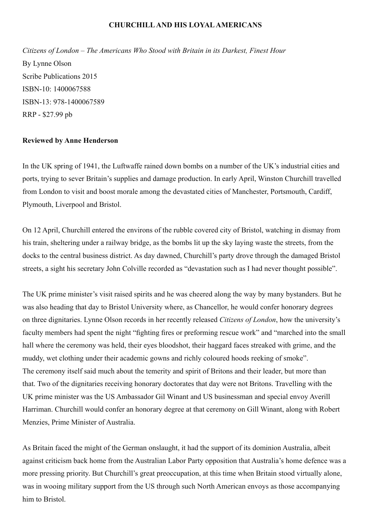#### **CHURCHILL AND HIS LOYAL AMERICANS**

<span id="page-2-0"></span>*Citizens of London – The Americans Who Stood with Britain in its Darkest, Finest Hour* By Lynne Olson Scribe Publications 2015 ISBN-10: 1400067588 ISBN-13: 978-1400067589 RRP - \$27.99 pb

#### **Reviewed by Anne Henderson**

In the UK spring of 1941, the Luftwaffe rained down bombs on a number of the UK's industrial cities and ports, trying to sever Britain's supplies and damage production. In early April, Winston Churchill travelled from London to visit and boost morale among the devastated cities of Manchester, Portsmouth, Cardiff, Plymouth, Liverpool and Bristol.

On 12 April, Churchill entered the environs of the rubble covered city of Bristol, watching in dismay from his train, sheltering under a railway bridge, as the bombs lit up the sky laying waste the streets, from the docks to the central business district. As day dawned, Churchill's party drove through the damaged Bristol streets, a sight his secretary John Colville recorded as "devastation such as I had never thought possible".

The UK prime minister's visit raised spirits and he was cheered along the way by many bystanders. But he was also heading that day to Bristol University where, as Chancellor, he would confer honorary degrees on three dignitaries. Lynne Olson records in her recently released *Citizens of London*, how the university's faculty members had spent the night "fighting fires or preforming rescue work" and "marched into the small hall where the ceremony was held, their eyes bloodshot, their haggard faces streaked with grime, and the muddy, wet clothing under their academic gowns and richly coloured hoods reeking of smoke". The ceremony itself said much about the temerity and spirit of Britons and their leader, but more than that. Two of the dignitaries receiving honorary doctorates that day were not Britons. Travelling with the UK prime minister was the US Ambassador Gil Winant and US businessman and special envoy Averill Harriman. Churchill would confer an honorary degree at that ceremony on Gill Winant, along with Robert Menzies, Prime Minister of Australia.

As Britain faced the might of the German onslaught, it had the support of its dominion Australia, albeit against criticism back home from the Australian Labor Party opposition that Australia's home defence was a more pressing priority. But Churchill's great preoccupation, at this time when Britain stood virtually alone, was in wooing military support from the US through such North American envoys as those accompanying him to Bristol.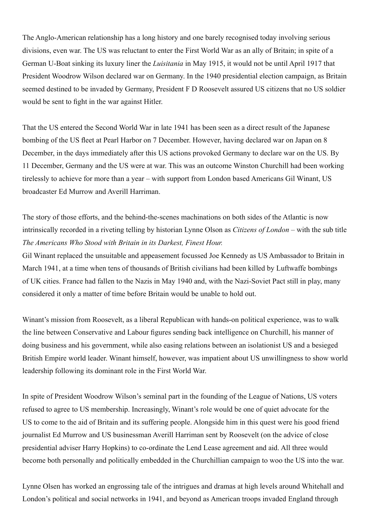The Anglo-American relationship has a long history and one barely recognised today involving serious divisions, even war. The US was reluctant to enter the First World War as an ally of Britain; in spite of a German U-Boat sinking its luxury liner the *Luisitania* in May 1915, it would not be until April 1917 that President Woodrow Wilson declared war on Germany. In the 1940 presidential election campaign, as Britain seemed destined to be invaded by Germany, President F D Roosevelt assured US citizens that no US soldier would be sent to fight in the war against Hitler.

That the US entered the Second World War in late 1941 has been seen as a direct result of the Japanese bombing of the US fleet at Pearl Harbor on 7 December. However, having declared war on Japan on 8 December, in the days immediately after this US actions provoked Germany to declare war on the US. By 11 December, Germany and the US were at war. This was an outcome Winston Churchill had been working tirelessly to achieve for more than a year – with support from London based Americans Gil Winant, US broadcaster Ed Murrow and Averill Harriman.

### The story of those efforts, and the behind-the-scenes machinations on both sides of the Atlantic is now intrinsically recorded in a riveting telling by historian Lynne Olson as *Citizens of London* – with the sub title *The Americans Who Stood with Britain in its Darkest, Finest Hour.*

Gil Winant replaced the unsuitable and appeasement focussed Joe Kennedy as US Ambassador to Britain in March 1941, at a time when tens of thousands of British civilians had been killed by Luftwaffe bombings of UK cities. France had fallen to the Nazis in May 1940 and, with the Nazi-Soviet Pact still in play, many considered it only a matter of time before Britain would be unable to hold out.

Winant's mission from Roosevelt, as a liberal Republican with hands-on political experience, was to walk the line between Conservative and Labour figures sending back intelligence on Churchill, his manner of doing business and his government, while also easing relations between an isolationist US and a besieged British Empire world leader. Winant himself, however, was impatient about US unwillingness to show world leadership following its dominant role in the First World War.

In spite of President Woodrow Wilson's seminal part in the founding of the League of Nations, US voters refused to agree to US membership. Increasingly, Winant's role would be one of quiet advocate for the US to come to the aid of Britain and its suffering people. Alongside him in this quest were his good friend journalist Ed Murrow and US businessman Averill Harriman sent by Roosevelt (on the advice of close presidential adviser Harry Hopkins) to co-ordinate the Lend Lease agreement and aid. All three would become both personally and politically embedded in the Churchillian campaign to woo the US into the war.

Lynne Olsen has worked an engrossing tale of the intrigues and dramas at high levels around Whitehall and London's political and social networks in 1941, and beyond as American troops invaded England through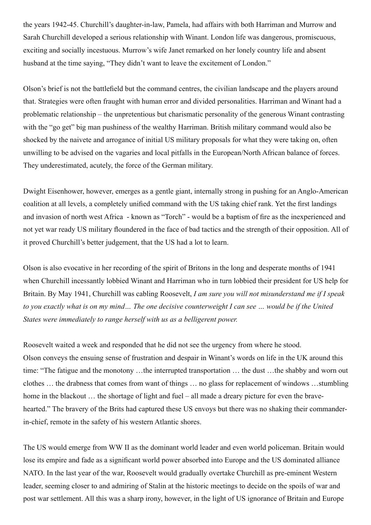the years 1942-45. Churchill's daughter-in-law, Pamela, had affairs with both Harriman and Murrow and Sarah Churchill developed a serious relationship with Winant. London life was dangerous, promiscuous, exciting and socially incestuous. Murrow's wife Janet remarked on her lonely country life and absent husband at the time saying, "They didn't want to leave the excitement of London."

Olson's brief is not the battlefield but the command centres, the civilian landscape and the players around that. Strategies were often fraught with human error and divided personalities. Harriman and Winant had a problematic relationship – the unpretentious but charismatic personality of the generous Winant contrasting with the "go get" big man pushiness of the wealthy Harriman. British military command would also be shocked by the naivete and arrogance of initial US military proposals for what they were taking on, often unwilling to be advised on the vagaries and local pitfalls in the European/North African balance of forces. They underestimated, acutely, the force of the German military.

Dwight Eisenhower, however, emerges as a gentle giant, internally strong in pushing for an Anglo-American coalition at all levels, a completely unified command with the US taking chief rank. Yet the first landings and invasion of north west Africa - known as "Torch" - would be a baptism of fire as the inexperienced and not yet war ready US military floundered in the face of bad tactics and the strength of their opposition. All of it proved Churchill's better judgement, that the US had a lot to learn.

Olson is also evocative in her recording of the spirit of Britons in the long and desperate months of 1941 when Churchill incessantly lobbied Winant and Harriman who in turn lobbied their president for US help for Britain. By May 1941, Churchill was cabling Roosevelt, *I am sure you will not misunderstand me if I speak to you exactly what is on my mind… The one decisive counterweight I can see … would be if the United States were immediately to range herself with us as a belligerent power.*

Roosevelt waited a week and responded that he did not see the urgency from where he stood. Olson conveys the ensuing sense of frustration and despair in Winant's words on life in the UK around this time: "The fatigue and the monotony …the interrupted transportation … the dust …the shabby and worn out clothes … the drabness that comes from want of things … no glass for replacement of windows …stumbling home in the blackout ... the shortage of light and fuel – all made a dreary picture for even the bravehearted." The bravery of the Brits had captured these US envoys but there was no shaking their commanderin-chief, remote in the safety of his western Atlantic shores.

The US would emerge from WW II as the dominant world leader and even world policeman. Britain would lose its empire and fade as a significant world power absorbed into Europe and the US dominated alliance NATO. In the last year of the war, Roosevelt would gradually overtake Churchill as pre-eminent Western leader, seeming closer to and admiring of Stalin at the historic meetings to decide on the spoils of war and post war settlement. All this was a sharp irony, however, in the light of US ignorance of Britain and Europe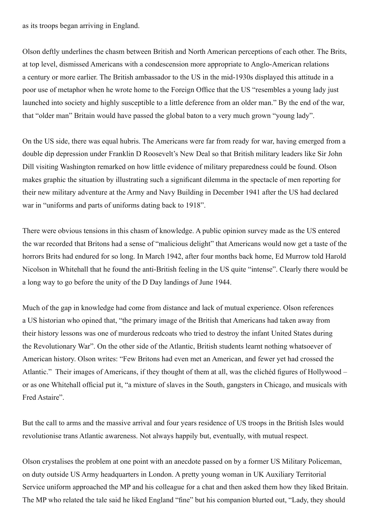as its troops began arriving in England.

Olson deftly underlines the chasm between British and North American perceptions of each other. The Brits, at top level, dismissed Americans with a condescension more appropriate to Anglo-American relations a century or more earlier. The British ambassador to the US in the mid-1930s displayed this attitude in a poor use of metaphor when he wrote home to the Foreign Office that the US "resembles a young lady just launched into society and highly susceptible to a little deference from an older man." By the end of the war, that "older man" Britain would have passed the global baton to a very much grown "young lady".

On the US side, there was equal hubris. The Americans were far from ready for war, having emerged from a double dip depression under Franklin D Roosevelt's New Deal so that British military leaders like Sir John Dill visiting Washington remarked on how little evidence of military preparedness could be found. Olson makes graphic the situation by illustrating such a significant dilemma in the spectacle of men reporting for their new military adventure at the Army and Navy Building in December 1941 after the US had declared war in "uniforms and parts of uniforms dating back to 1918".

There were obvious tensions in this chasm of knowledge. A public opinion survey made as the US entered the war recorded that Britons had a sense of "malicious delight" that Americans would now get a taste of the horrors Brits had endured for so long. In March 1942, after four months back home, Ed Murrow told Harold Nicolson in Whitehall that he found the anti-British feeling in the US quite "intense". Clearly there would be a long way to go before the unity of the D Day landings of June 1944.

Much of the gap in knowledge had come from distance and lack of mutual experience. Olson references a US historian who opined that, "the primary image of the British that Americans had taken away from their history lessons was one of murderous redcoats who tried to destroy the infant United States during the Revolutionary War". On the other side of the Atlantic, British students learnt nothing whatsoever of American history. Olson writes: "Few Britons had even met an American, and fewer yet had crossed the Atlantic." Their images of Americans, if they thought of them at all, was the clichéd figures of Hollywood – or as one Whitehall official put it, "a mixture of slaves in the South, gangsters in Chicago, and musicals with Fred Astaire".

But the call to arms and the massive arrival and four years residence of US troops in the British Isles would revolutionise trans Atlantic awareness. Not always happily but, eventually, with mutual respect.

Olson crystalises the problem at one point with an anecdote passed on by a former US Military Policeman, on duty outside US Army headquarters in London. A pretty young woman in UK Auxiliary Territorial Service uniform approached the MP and his colleague for a chat and then asked them how they liked Britain. The MP who related the tale said he liked England "fine" but his companion blurted out, "Lady, they should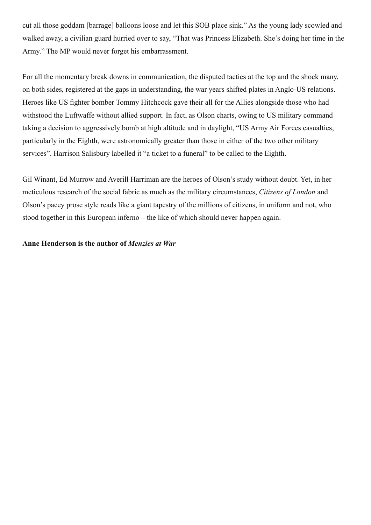<span id="page-6-0"></span>cut all those goddam [barrage] balloons loose and let this SOB place sink." As the young lady scowled and walked away, a civilian guard hurried over to say, "That was Princess Elizabeth. She's doing her time in the Army." The MP would never forget his embarrassment.

For all the momentary break downs in communication, the disputed tactics at the top and the shock many, on both sides, registered at the gaps in understanding, the war years shifted plates in Anglo-US relations. Heroes like US fighter bomber Tommy Hitchcock gave their all for the Allies alongside those who had withstood the Luftwaffe without allied support. In fact, as Olson charts, owing to US military command taking a decision to aggressively bomb at high altitude and in daylight, "US Army Air Forces casualties, particularly in the Eighth, were astronomically greater than those in either of the two other military services". Harrison Salisbury labelled it "a ticket to a funeral" to be called to the Eighth.

Gil Winant, Ed Murrow and Averill Harriman are the heroes of Olson's study without doubt. Yet, in her meticulous research of the social fabric as much as the military circumstances, *Citizens of London* and Olson's pacey prose style reads like a giant tapestry of the millions of citizens, in uniform and not, who stood together in this European inferno – the like of which should never happen again.

#### **Anne Henderson is the author of** *Menzies at War*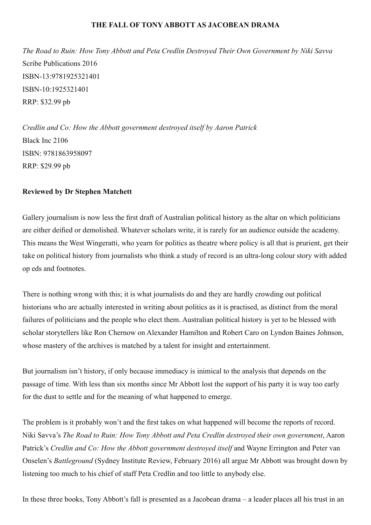#### **THE FALL OF TONY ABBOTT AS JACOBEAN DRAMA**

*The Road to Ruin: How Tony Abbott and Peta Credlin Destroyed Their Own Government by Niki Savva* Scribe Publications 2016 ISBN-13:9781925321401 ISBN-10:1925321401 RRP: \$32.99 pb

*Credlin and Co: How the Abbott government destroyed itself by Aaron Patrick* Black Inc 2106 ISBN: 9781863958097 RRP: \$29.99 pb

#### **Reviewed by Dr Stephen Matchett**

Gallery journalism is now less the first draft of Australian political history as the altar on which politicians are either deified or demolished. Whatever scholars write, it is rarely for an audience outside the academy. This means the West Wingeratti, who yearn for politics as theatre where policy is all that is prurient, get their take on political history from journalists who think a study of record is an ultra-long colour story with added op eds and footnotes.

There is nothing wrong with this; it is what journalists do and they are hardly crowding out political historians who are actually interested in writing about politics as it is practised, as distinct from the moral failures of politicians and the people who elect them. Australian political history is yet to be blessed with scholar storytellers like Ron Chernow on Alexander Hamilton and Robert Caro on Lyndon Baines Johnson, whose mastery of the archives is matched by a talent for insight and entertainment.

But journalism isn't history, if only because immediacy is inimical to the analysis that depends on the passage of time. With less than six months since Mr Abbott lost the support of his party it is way too early for the dust to settle and for the meaning of what happened to emerge.

The problem is it probably won't and the first takes on what happened will become the reports of record. Niki Savva's *The Road to Ruin: How Tony Abbott and Peta Credlin destroyed their own government*, Aaron Patrick's *Credlin and Co: How the Abbott government destroyed itself* and Wayne Errington and Peter van Onselen's *Battleground* (Sydney Institute Review, February 2016) all argue Mr Abbott was brought down by listening too much to his chief of staff Peta Credlin and too little to anybody else.

In these three books, Tony Abbott's fall is presented as a Jacobean drama – a leader places all his trust in an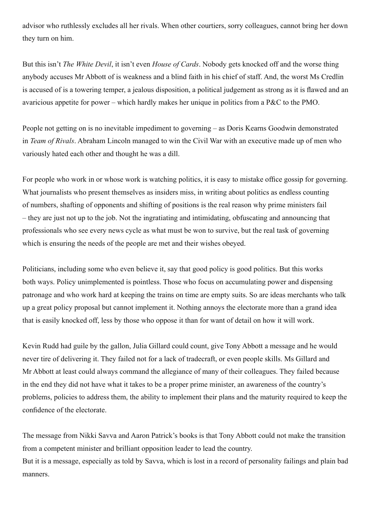advisor who ruthlessly excludes all her rivals. When other courtiers, sorry colleagues, cannot bring her down they turn on him.

But this isn't *The White Devil*, it isn't even *House of Cards*. Nobody gets knocked off and the worse thing anybody accuses Mr Abbott of is weakness and a blind faith in his chief of staff. And, the worst Ms Credlin is accused of is a towering temper, a jealous disposition, a political judgement as strong as it is flawed and an avaricious appetite for power – which hardly makes her unique in politics from a P&C to the PMO.

People not getting on is no inevitable impediment to governing – as Doris Kearns Goodwin demonstrated in *Team of Rivals*. Abraham Lincoln managed to win the Civil War with an executive made up of men who variously hated each other and thought he was a dill.

For people who work in or whose work is watching politics, it is easy to mistake office gossip for governing. What journalists who present themselves as insiders miss, in writing about politics as endless counting of numbers, shafting of opponents and shifting of positions is the real reason why prime ministers fail – they are just not up to the job. Not the ingratiating and intimidating, obfuscating and announcing that professionals who see every news cycle as what must be won to survive, but the real task of governing which is ensuring the needs of the people are met and their wishes obeyed.

Politicians, including some who even believe it, say that good policy is good politics. But this works both ways. Policy unimplemented is pointless. Those who focus on accumulating power and dispensing patronage and who work hard at keeping the trains on time are empty suits. So are ideas merchants who talk up a great policy proposal but cannot implement it. Nothing annoys the electorate more than a grand idea that is easily knocked off, less by those who oppose it than for want of detail on how it will work.

Kevin Rudd had guile by the gallon, Julia Gillard could count, give Tony Abbott a message and he would never tire of delivering it. They failed not for a lack of tradecraft, or even people skills. Ms Gillard and Mr Abbott at least could always command the allegiance of many of their colleagues. They failed because in the end they did not have what it takes to be a proper prime minister, an awareness of the country's problems, policies to address them, the ability to implement their plans and the maturity required to keep the confidence of the electorate.

The message from Nikki Savva and Aaron Patrick's books is that Tony Abbott could not make the transition from a competent minister and brilliant opposition leader to lead the country. But it is a message, especially as told by Savva, which is lost in a record of personality failings and plain bad manners.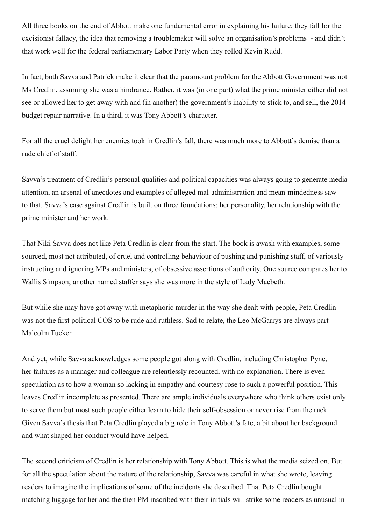All three books on the end of Abbott make one fundamental error in explaining his failure; they fall for the excisionist fallacy, the idea that removing a troublemaker will solve an organisation's problems - and didn't that work well for the federal parliamentary Labor Party when they rolled Kevin Rudd.

In fact, both Savva and Patrick make it clear that the paramount problem for the Abbott Government was not Ms Credlin, assuming she was a hindrance. Rather, it was (in one part) what the prime minister either did not see or allowed her to get away with and (in another) the government's inability to stick to, and sell, the 2014 budget repair narrative. In a third, it was Tony Abbott's character.

For all the cruel delight her enemies took in Credlin's fall, there was much more to Abbott's demise than a rude chief of staff.

Savva's treatment of Credlin's personal qualities and political capacities was always going to generate media attention, an arsenal of anecdotes and examples of alleged mal-administration and mean-mindedness saw to that. Savva's case against Credlin is built on three foundations; her personality, her relationship with the prime minister and her work.

That Niki Savva does not like Peta Credlin is clear from the start. The book is awash with examples, some sourced, most not attributed, of cruel and controlling behaviour of pushing and punishing staff, of variously instructing and ignoring MPs and ministers, of obsessive assertions of authority. One source compares her to Wallis Simpson; another named staffer says she was more in the style of Lady Macbeth.

But while she may have got away with metaphoric murder in the way she dealt with people, Peta Credlin was not the first political COS to be rude and ruthless. Sad to relate, the Leo McGarrys are always part Malcolm Tucker.

And yet, while Savva acknowledges some people got along with Credlin, including Christopher Pyne, her failures as a manager and colleague are relentlessly recounted, with no explanation. There is even speculation as to how a woman so lacking in empathy and courtesy rose to such a powerful position. This leaves Credlin incomplete as presented. There are ample individuals everywhere who think others exist only to serve them but most such people either learn to hide their self-obsession or never rise from the ruck. Given Savva's thesis that Peta Credlin played a big role in Tony Abbott's fate, a bit about her background and what shaped her conduct would have helped.

The second criticism of Credlin is her relationship with Tony Abbott. This is what the media seized on. But for all the speculation about the nature of the relationship, Savva was careful in what she wrote, leaving readers to imagine the implications of some of the incidents she described. That Peta Credlin bought matching luggage for her and the then PM inscribed with their initials will strike some readers as unusual in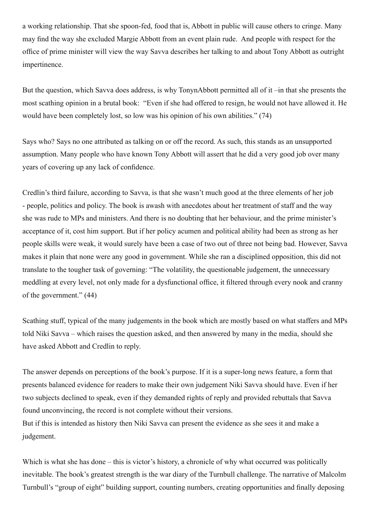a working relationship. That she spoon-fed, food that is, Abbott in public will cause others to cringe. Many may find the way she excluded Margie Abbott from an event plain rude. And people with respect for the office of prime minister will view the way Savva describes her talking to and about Tony Abbott as outright impertinence.

But the question, which Savva does address, is why TonynAbbott permitted all of it –in that she presents the most scathing opinion in a brutal book: "Even if she had offered to resign, he would not have allowed it. He would have been completely lost, so low was his opinion of his own abilities." (74)

Says who? Says no one attributed as talking on or off the record. As such, this stands as an unsupported assumption. Many people who have known Tony Abbott will assert that he did a very good job over many years of covering up any lack of confidence.

Credlin's third failure, according to Savva, is that she wasn't much good at the three elements of her job - people, politics and policy. The book is awash with anecdotes about her treatment of staff and the way she was rude to MPs and ministers. And there is no doubting that her behaviour, and the prime minister's acceptance of it, cost him support. But if her policy acumen and political ability had been as strong as her people skills were weak, it would surely have been a case of two out of three not being bad. However, Savva makes it plain that none were any good in government. While she ran a disciplined opposition, this did not translate to the tougher task of governing: "The volatility, the questionable judgement, the unnecessary meddling at every level, not only made for a dysfunctional office, it filtered through every nook and cranny of the government." (44)

Scathing stuff, typical of the many judgements in the book which are mostly based on what staffers and MPs told Niki Savva – which raises the question asked, and then answered by many in the media, should she have asked Abbott and Credlin to reply.

The answer depends on perceptions of the book's purpose. If it is a super-long news feature, a form that presents balanced evidence for readers to make their own judgement Niki Savva should have. Even if her two subjects declined to speak, even if they demanded rights of reply and provided rebuttals that Savva found unconvincing, the record is not complete without their versions.

But if this is intended as history then Niki Savva can present the evidence as she sees it and make a judgement.

Which is what she has done – this is victor's history, a chronicle of why what occurred was politically inevitable. The book's greatest strength is the war diary of the Turnbull challenge. The narrative of Malcolm Turnbull's "group of eight" building support, counting numbers, creating opportunities and finally deposing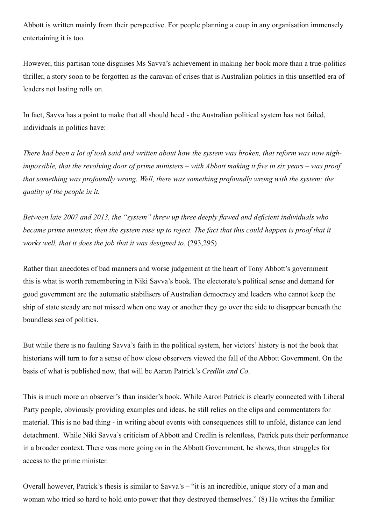Abbott is written mainly from their perspective. For people planning a coup in any organisation immensely entertaining it is too.

However, this partisan tone disguises Ms Savva's achievement in making her book more than a true-politics thriller, a story soon to be forgotten as the caravan of crises that is Australian politics in this unsettled era of leaders not lasting rolls on.

In fact, Savva has a point to make that all should heed - the Australian political system has not failed, individuals in politics have:

*There had been a lot of tosh said and written about how the system was broken, that reform was now nighimpossible, that the revolving door of prime ministers – with Abbott making it five in six years – was proof that something was profoundly wrong. Well, there was something profoundly wrong with the system: the quality of the people in it.*

*Between late 2007 and 2013, the "system" threw up three deeply flawed and deficient individuals who became prime minister, then the system rose up to reject. The fact that this could happen is proof that it works well, that it does the job that it was designed to*. (293,295)

Rather than anecdotes of bad manners and worse judgement at the heart of Tony Abbott's government this is what is worth remembering in Niki Savva's book. The electorate's political sense and demand for good government are the automatic stabilisers of Australian democracy and leaders who cannot keep the ship of state steady are not missed when one way or another they go over the side to disappear beneath the boundless sea of politics.

But while there is no faulting Savva's faith in the political system, her victors' history is not the book that historians will turn to for a sense of how close observers viewed the fall of the Abbott Government. On the basis of what is published now, that will be Aaron Patrick's *Credlin and Co*.

This is much more an observer's than insider's book. While Aaron Patrick is clearly connected with Liberal Party people, obviously providing examples and ideas, he still relies on the clips and commentators for material. This is no bad thing - in writing about events with consequences still to unfold, distance can lend detachment. While Niki Savva's criticism of Abbott and Credlin is relentless, Patrick puts their performance in a broader context. There was more going on in the Abbott Government, he shows, than struggles for access to the prime minister.

Overall however, Patrick's thesis is similar to Savva's – "it is an incredible, unique story of a man and woman who tried so hard to hold onto power that they destroyed themselves." (8) He writes the familiar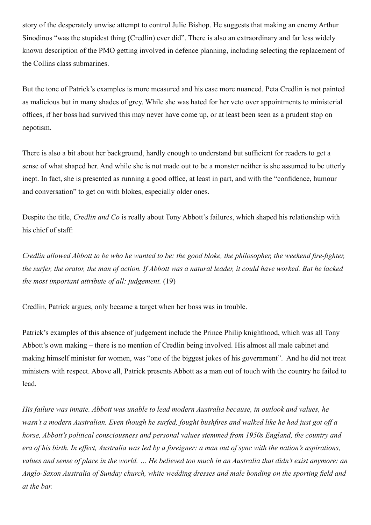story of the desperately unwise attempt to control Julie Bishop. He suggests that making an enemy Arthur Sinodinos "was the stupidest thing (Credlin) ever did". There is also an extraordinary and far less widely known description of the PMO getting involved in defence planning, including selecting the replacement of the Collins class submarines.

But the tone of Patrick's examples is more measured and his case more nuanced. Peta Credlin is not painted as malicious but in many shades of grey. While she was hated for her veto over appointments to ministerial offices, if her boss had survived this may never have come up, or at least been seen as a prudent stop on nepotism.

There is also a bit about her background, hardly enough to understand but sufficient for readers to get a sense of what shaped her. And while she is not made out to be a monster neither is she assumed to be utterly inept. In fact, she is presented as running a good office, at least in part, and with the "confidence, humour and conversation" to get on with blokes, especially older ones.

Despite the title, *Credlin and Co* is really about Tony Abbott's failures, which shaped his relationship with his chief of staff:

*Credlin allowed Abbott to be who he wanted to be: the good bloke, the philosopher, the weekend fire-fighter, the surfer, the orator, the man of action. If Abbott was a natural leader, it could have worked. But he lacked the most important attribute of all: judgement.* (19)

Credlin, Patrick argues, only became a target when her boss was in trouble.

Patrick's examples of this absence of judgement include the Prince Philip knighthood, which was all Tony Abbott's own making – there is no mention of Credlin being involved. His almost all male cabinet and making himself minister for women, was "one of the biggest jokes of his government". And he did not treat ministers with respect. Above all, Patrick presents Abbott as a man out of touch with the country he failed to lead.

*His failure was innate. Abbott was unable to lead modern Australia because, in outlook and values, he wasn't a modern Australian. Even though he surfed, fought bushfires and walked like he had just got off a horse, Abbott's political consciousness and personal values stemmed from 1950s England, the country and era of his birth. In effect, Australia was led by a foreigner: a man out of sync with the nation's aspirations, values and sense of place in the world. … He believed too much in an Australia that didn't exist anymore: an Anglo-Saxon Australia of Sunday church, white wedding dresses and male bonding on the sporting field and at the bar.*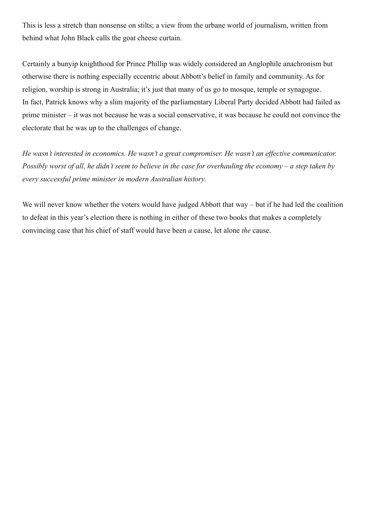<span id="page-13-0"></span>This is less a stretch than nonsense on stilts; a view from the urbane world of journalism, written from behind what John Black calls the goat cheese curtain.

Certainly a bunyip knighthood for Prince Phillip was widely considered an Anglophile anachronism but otherwise there is nothing especially eccentric about Abbott's belief in family and community. As for religion, worship is strong in Australia; it's just that many of us go to mosque, temple or synagogue. In fact, Patrick knows why a slim majority of the parliamentary Liberal Party decided Abbott had failed as prime minister – it was not because he was a social conservative, it was because he could not convince the electorate that he was up to the challenges of change.

*He wasn't interested in economics. He wasn't a great compromiser. He wasn't an effective communicator. Possibly worst of all, he didn't seem to believe in the case for overhauling the economy – a step taken by every successful prime minister in modern Australian history.*

We will never know whether the voters would have judged Abbott that way – but if he had led the coalition to defeat in this year's election there is nothing in either of these two books that makes a completely convincing case that his chief of staff would have been *a* cause, let alone *the* cause.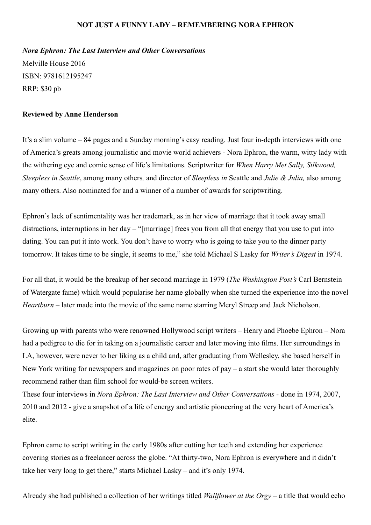#### **NOT JUST A FUNNY LADY – REMEMBERING NORA EPHRON**

*Nora Ephron: The Last Interview and Other Conversations*

Melville House 2016 ISBN: 9781612195247 RRP: \$30 pb

#### **Reviewed by Anne Henderson**

It's a slim volume – 84 pages and a Sunday morning's easy reading. Just four in-depth interviews with one of America's greats among journalistic and movie world achievers - Nora Ephron, the warm, witty lady with the withering eye and comic sense of life's limitations. Scriptwriter for *When Harry Met Sally, Silkwood, Sleepless in Seattle*, among many others*,* and director of *Sleepless in* Seattle and *Julie & Julia,* also among many others. Also nominated for and a winner of a number of awards for scriptwriting.

Ephron's lack of sentimentality was her trademark, as in her view of marriage that it took away small distractions, interruptions in her day – "[marriage] frees you from all that energy that you use to put into dating. You can put it into work. You don't have to worry who is going to take you to the dinner party tomorrow. It takes time to be single, it seems to me," she told Michael S Lasky for *Writer's Digest* in 1974.

For all that, it would be the breakup of her second marriage in 1979 (*The Washington Post's* Carl Bernstein of Watergate fame) which would popularise her name globally when she turned the experience into the novel *Heartburn* – later made into the movie of the same name starring Meryl Streep and Jack Nicholson.

Growing up with parents who were renowned Hollywood script writers – Henry and Phoebe Ephron – Nora had a pedigree to die for in taking on a journalistic career and later moving into films. Her surroundings in LA, however, were never to her liking as a child and, after graduating from Wellesley, she based herself in New York writing for newspapers and magazines on poor rates of pay – a start she would later thoroughly recommend rather than film school for would-be screen writers.

These four interviews in *Nora Ephron: The Last Interview and Other Conversations -* done in 1974, 2007, 2010 and 2012 - give a snapshot of a life of energy and artistic pioneering at the very heart of America's elite.

Ephron came to script writing in the early 1980s after cutting her teeth and extending her experience covering stories as a freelancer across the globe. "At thirty-two, Nora Ephron is everywhere and it didn't take her very long to get there," starts Michael Lasky – and it's only 1974.

Already she had published a collection of her writings titled *Wallflower at the Orgy* – a title that would echo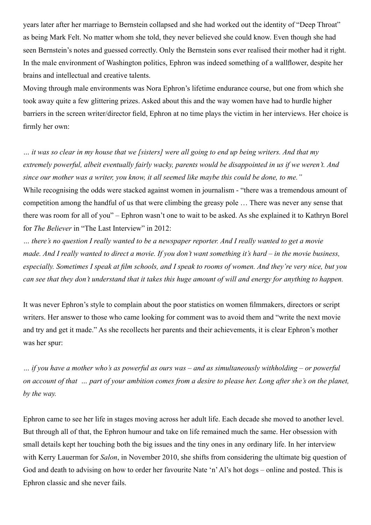<span id="page-15-0"></span>years later after her marriage to Bernstein collapsed and she had worked out the identity of "Deep Throat" as being Mark Felt. No matter whom she told, they never believed she could know. Even though she had seen Bernstein's notes and guessed correctly. Only the Bernstein sons ever realised their mother had it right. In the male environment of Washington politics, Ephron was indeed something of a wallflower, despite her brains and intellectual and creative talents.

Moving through male environments was Nora Ephron's lifetime endurance course, but one from which she took away quite a few glittering prizes. Asked about this and the way women have had to hurdle higher barriers in the screen writer/director field, Ephron at no time plays the victim in her interviews. Her choice is firmly her own:

*… it was so clear in my house that we [sisters] were all going to end up being writers. And that my extremely powerful, albeit eventually fairly wacky, parents would be disappointed in us if we weren't. And since our mother was a writer, you know, it all seemed like maybe this could be done, to me."* While recognising the odds were stacked against women in journalism - "there was a tremendous amount of competition among the handful of us that were climbing the greasy pole … There was never any sense that there was room for all of you" – Ephron wasn't one to wait to be asked. As she explained it to Kathryn Borel for *The Believer* in "The Last Interview" in 2012:

*… there's no question I really wanted to be a newspaper reporter. And I really wanted to get a movie made. And I really wanted to direct a movie. If you don't want something it's hard – in the movie business, especially. Sometimes I speak at film schools, and I speak to rooms of women. And they're very nice, but you can see that they don't understand that it takes this huge amount of will and energy for anything to happen.*

It was never Ephron's style to complain about the poor statistics on women filmmakers, directors or script writers. Her answer to those who came looking for comment was to avoid them and "write the next movie and try and get it made." As she recollects her parents and their achievements, it is clear Ephron's mother was her spur:

*… if you have a mother who's as powerful as ours was – and as simultaneously withholding – or powerful on account of that … part of your ambition comes from a desire to please her. Long after she's on the planet, by the way.*

Ephron came to see her life in stages moving across her adult life. Each decade she moved to another level. But through all of that, the Ephron humour and take on life remained much the same. Her obsession with small details kept her touching both the big issues and the tiny ones in any ordinary life. In her interview with Kerry Lauerman for *Salon*, in November 2010, she shifts from considering the ultimate big question of God and death to advising on how to order her favourite Nate 'n' Al's hot dogs – online and posted. This is Ephron classic and she never fails.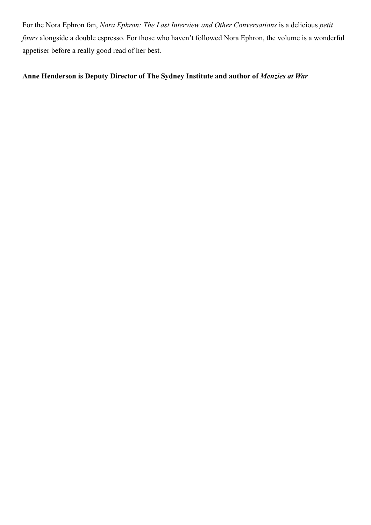For the Nora Ephron fan, *Nora Ephron: The Last Interview and Other Conversations* is a delicious *petit fours* alongside a double espresso. For those who haven't followed Nora Ephron, the volume is a wonderful appetiser before a really good read of her best.

#### **Anne Henderson is Deputy Director of The Sydney Institute and author of** *Menzies at War*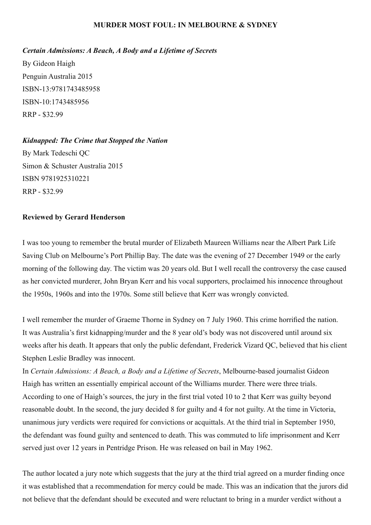#### **MURDER MOST FOUL: IN MELBOURNE & SYDNEY**

#### *Certain Admissions: A Beach, A Body and a Lifetime of Secrets*

By Gideon Haigh Penguin Australia 2015 ISBN-13:9781743485958 ISBN-10:1743485956 RRP - \$32.99

*Kidnapped: The Crime that Stopped the Nation* By Mark Tedeschi QC Simon & Schuster Australia 2015 ISBN 9781925310221 RRP - \$32.99

#### **Reviewed by Gerard Henderson**

I was too young to remember the brutal murder of Elizabeth Maureen Williams near the Albert Park Life Saving Club on Melbourne's Port Phillip Bay. The date was the evening of 27 December 1949 or the early morning of the following day. The victim was 20 years old. But I well recall the controversy the case caused as her convicted murderer, John Bryan Kerr and his vocal supporters, proclaimed his innocence throughout the 1950s, 1960s and into the 1970s. Some still believe that Kerr was wrongly convicted.

I well remember the murder of Graeme Thorne in Sydney on 7 July 1960. This crime horrified the nation. It was Australia's first kidnapping/murder and the 8 year old's body was not discovered until around six weeks after his death. It appears that only the public defendant, Frederick Vizard QC, believed that his client Stephen Leslie Bradley was innocent.

In *Certain Admissions: A Beach, a Body and a Lifetime of Secrets*, Melbourne-based journalist Gideon Haigh has written an essentially empirical account of the Williams murder. There were three trials. According to one of Haigh's sources, the jury in the first trial voted 10 to 2 that Kerr was guilty beyond reasonable doubt. In the second, the jury decided 8 for guilty and 4 for not guilty. At the time in Victoria, unanimous jury verdicts were required for convictions or acquittals. At the third trial in September 1950, the defendant was found guilty and sentenced to death. This was commuted to life imprisonment and Kerr served just over 12 years in Pentridge Prison. He was released on bail in May 1962.

The author located a jury note which suggests that the jury at the third trial agreed on a murder finding once it was established that a recommendation for mercy could be made. This was an indication that the jurors did not believe that the defendant should be executed and were reluctant to bring in a murder verdict without a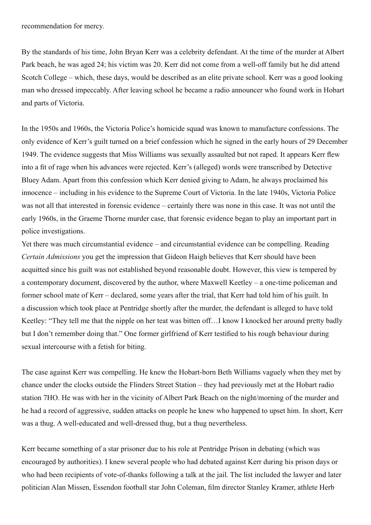recommendation for mercy.

By the standards of his time, John Bryan Kerr was a celebrity defendant. At the time of the murder at Albert Park beach, he was aged 24; his victim was 20. Kerr did not come from a well-off family but he did attend Scotch College – which, these days, would be described as an elite private school. Kerr was a good looking man who dressed impeccably. After leaving school he became a radio announcer who found work in Hobart and parts of Victoria.

In the 1950s and 1960s, the Victoria Police's homicide squad was known to manufacture confessions. The only evidence of Kerr's guilt turned on a brief confession which he signed in the early hours of 29 December 1949. The evidence suggests that Miss Williams was sexually assaulted but not raped. It appears Kerr flew into a fit of rage when his advances were rejected. Kerr's (alleged) words were transcribed by Detective Bluey Adam. Apart from this confession which Kerr denied giving to Adam, he always proclaimed his innocence – including in his evidence to the Supreme Court of Victoria. In the late 1940s, Victoria Police was not all that interested in forensic evidence – certainly there was none in this case. It was not until the early 1960s, in the Graeme Thorne murder case, that forensic evidence began to play an important part in police investigations.

Yet there was much circumstantial evidence – and circumstantial evidence can be compelling. Reading *Certain Admissions* you get the impression that Gideon Haigh believes that Kerr should have been acquitted since his guilt was not established beyond reasonable doubt. However, this view is tempered by a contemporary document, discovered by the author, where Maxwell Keetley – a one-time policeman and former school mate of Kerr – declared, some years after the trial, that Kerr had told him of his guilt. In a discussion which took place at Pentridge shortly after the murder, the defendant is alleged to have told Keetley: "They tell me that the nipple on her teat was bitten off…I know I knocked her around pretty badly but I don't remember doing that." One former girlfriend of Kerr testified to his rough behaviour during sexual intercourse with a fetish for biting.

The case against Kerr was compelling. He knew the Hobart-born Beth Williams vaguely when they met by chance under the clocks outside the Flinders Street Station – they had previously met at the Hobart radio station 7HO. He was with her in the vicinity of Albert Park Beach on the night/morning of the murder and he had a record of aggressive, sudden attacks on people he knew who happened to upset him. In short, Kerr was a thug. A well-educated and well-dressed thug, but a thug nevertheless.

Kerr became something of a star prisoner due to his role at Pentridge Prison in debating (which was encouraged by authorities). I knew several people who had debated against Kerr during his prison days or who had been recipients of vote-of-thanks following a talk at the jail. The list included the lawyer and later politician Alan Missen, Essendon football star John Coleman, film director Stanley Kramer, athlete Herb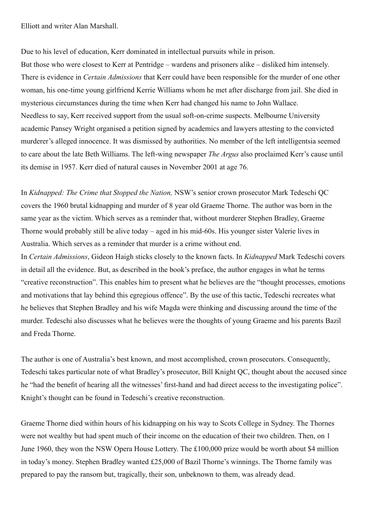Elliott and writer Alan Marshall.

Due to his level of education, Kerr dominated in intellectual pursuits while in prison. But those who were closest to Kerr at Pentridge – wardens and prisoners alike – disliked him intensely. There is evidence in *Certain Admissions* that Kerr could have been responsible for the murder of one other woman, his one-time young girlfriend Kerrie Williams whom he met after discharge from jail. She died in mysterious circumstances during the time when Kerr had changed his name to John Wallace. Needless to say, Kerr received support from the usual soft-on-crime suspects. Melbourne University academic Pansey Wright organised a petition signed by academics and lawyers attesting to the convicted murderer's alleged innocence. It was dismissed by authorities. No member of the left intelligentsia seemed to care about the late Beth Williams. The left-wing newspaper *The Argus* also proclaimed Kerr's cause until its demise in 1957. Kerr died of natural causes in November 2001 at age 76.

In *Kidnapped: The Crime that Stopped the Nation,* NSW's senior crown prosecutor Mark Tedeschi QC covers the 1960 brutal kidnapping and murder of 8 year old Graeme Thorne. The author was born in the same year as the victim. Which serves as a reminder that, without murderer Stephen Bradley, Graeme Thorne would probably still be alive today – aged in his mid-60s. His younger sister Valerie lives in Australia. Which serves as a reminder that murder is a crime without end.

In *Certain Admissions*, Gideon Haigh sticks closely to the known facts. In *Kidnapped* Mark Tedeschi covers in detail all the evidence. But, as described in the book's preface, the author engages in what he terms "creative reconstruction". This enables him to present what he believes are the "thought processes, emotions and motivations that lay behind this egregious offence". By the use of this tactic, Tedeschi recreates what he believes that Stephen Bradley and his wife Magda were thinking and discussing around the time of the murder. Tedeschi also discusses what he believes were the thoughts of young Graeme and his parents Bazil and Freda Thorne.

The author is one of Australia's best known, and most accomplished, crown prosecutors. Consequently, Tedeschi takes particular note of what Bradley's prosecutor, Bill Knight QC, thought about the accused since he "had the benefit of hearing all the witnesses' first-hand and had direct access to the investigating police". Knight's thought can be found in Tedeschi's creative reconstruction.

Graeme Thorne died within hours of his kidnapping on his way to Scots College in Sydney. The Thornes were not wealthy but had spent much of their income on the education of their two children. Then, on 1 June 1960, they won the NSW Opera House Lottery. The £100,000 prize would be worth about \$4 million in today's money. Stephen Bradley wanted £25,000 of Bazil Thorne's winnings. The Thorne family was prepared to pay the ransom but, tragically, their son, unbeknown to them, was already dead.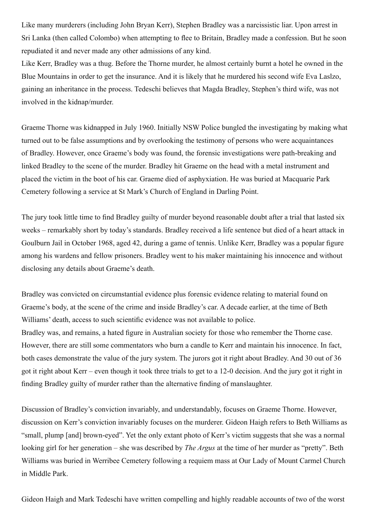<span id="page-20-0"></span>Like many murderers (including John Bryan Kerr), Stephen Bradley was a narcissistic liar. Upon arrest in Sri Lanka (then called Colombo) when attempting to flee to Britain, Bradley made a confession. But he soon repudiated it and never made any other admissions of any kind.

Like Kerr, Bradley was a thug. Before the Thorne murder, he almost certainly burnt a hotel he owned in the Blue Mountains in order to get the insurance. And it is likely that he murdered his second wife Eva Laslzo, gaining an inheritance in the process. Tedeschi believes that Magda Bradley, Stephen's third wife, was not involved in the kidnap/murder.

Graeme Thorne was kidnapped in July 1960. Initially NSW Police bungled the investigating by making what turned out to be false assumptions and by overlooking the testimony of persons who were acquaintances of Bradley. However, once Graeme's body was found, the forensic investigations were path-breaking and linked Bradley to the scene of the murder. Bradley hit Graeme on the head with a metal instrument and placed the victim in the boot of his car. Graeme died of asphyxiation. He was buried at Macquarie Park Cemetery following a service at St Mark's Church of England in Darling Point.

The jury took little time to find Bradley guilty of murder beyond reasonable doubt after a trial that lasted six weeks – remarkably short by today's standards. Bradley received a life sentence but died of a heart attack in Goulburn Jail in October 1968, aged 42, during a game of tennis. Unlike Kerr, Bradley was a popular figure among his wardens and fellow prisoners. Bradley went to his maker maintaining his innocence and without disclosing any details about Graeme's death.

Bradley was convicted on circumstantial evidence plus forensic evidence relating to material found on Graeme's body, at the scene of the crime and inside Bradley's car. A decade earlier, at the time of Beth Williams' death, access to such scientific evidence was not available to police.

Bradley was, and remains, a hated figure in Australian society for those who remember the Thorne case. However, there are still some commentators who burn a candle to Kerr and maintain his innocence. In fact, both cases demonstrate the value of the jury system. The jurors got it right about Bradley. And 30 out of 36 got it right about Kerr – even though it took three trials to get to a 12-0 decision. And the jury got it right in finding Bradley guilty of murder rather than the alternative finding of manslaughter.

Discussion of Bradley's conviction invariably, and understandably, focuses on Graeme Thorne. However, discussion on Kerr's conviction invariably focuses on the murderer. Gideon Haigh refers to Beth Williams as "small, plump [and] brown-eyed". Yet the only extant photo of Kerr's victim suggests that she was a normal looking girl for her generation – she was described by *The Argus* at the time of her murder as "pretty". Beth Williams was buried in Werribee Cemetery following a requiem mass at Our Lady of Mount Carmel Church in Middle Park.

Gideon Haigh and Mark Tedeschi have written compelling and highly readable accounts of two of the worst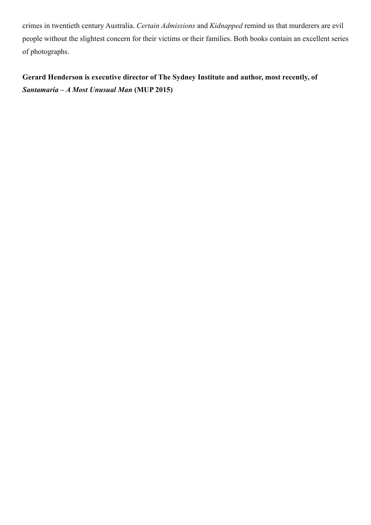crimes in twentieth century Australia. *Certain Admissions* and *Kidnapped* remind us that murderers are evil people without the slightest concern for their victims or their families. Both books contain an excellent series of photographs.

**Gerard Henderson is executive director of The Sydney Institute and author, most recently, of**  *Santamaria – A Most Unusual Man* **(MUP 2015)**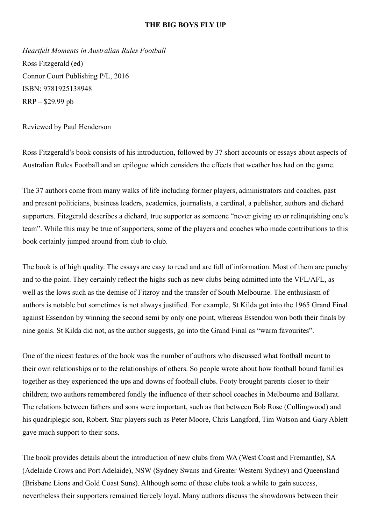#### **THE BIG BOYS FLY UP**

*Heartfelt Moments in Australian Rules Football* Ross Fitzgerald (ed) Connor Court Publishing P/L, 2016 ISBN: 9781925138948 RRP – \$29.99 pb

Reviewed by Paul Henderson

Ross Fitzgerald's book consists of his introduction, followed by 37 short accounts or essays about aspects of Australian Rules Football and an epilogue which considers the effects that weather has had on the game.

The 37 authors come from many walks of life including former players, administrators and coaches, past and present politicians, business leaders, academics, journalists, a cardinal, a publisher, authors and diehard supporters. Fitzgerald describes a diehard, true supporter as someone "never giving up or relinquishing one's team". While this may be true of supporters, some of the players and coaches who made contributions to this book certainly jumped around from club to club.

The book is of high quality. The essays are easy to read and are full of information. Most of them are punchy and to the point. They certainly reflect the highs such as new clubs being admitted into the VFL/AFL, as well as the lows such as the demise of Fitzroy and the transfer of South Melbourne. The enthusiasm of authors is notable but sometimes is not always justified. For example, St Kilda got into the 1965 Grand Final against Essendon by winning the second semi by only one point, whereas Essendon won both their finals by nine goals. St Kilda did not, as the author suggests, go into the Grand Final as "warm favourites".

One of the nicest features of the book was the number of authors who discussed what football meant to their own relationships or to the relationships of others. So people wrote about how football bound families together as they experienced the ups and downs of football clubs. Footy brought parents closer to their children; two authors remembered fondly the influence of their school coaches in Melbourne and Ballarat. The relations between fathers and sons were important, such as that between Bob Rose (Collingwood) and his quadriplegic son, Robert. Star players such as Peter Moore, Chris Langford, Tim Watson and Gary Ablett gave much support to their sons.

The book provides details about the introduction of new clubs from WA (West Coast and Fremantle), SA (Adelaide Crows and Port Adelaide), NSW (Sydney Swans and Greater Western Sydney) and Queensland (Brisbane Lions and Gold Coast Suns). Although some of these clubs took a while to gain success, nevertheless their supporters remained fiercely loyal. Many authors discuss the showdowns between their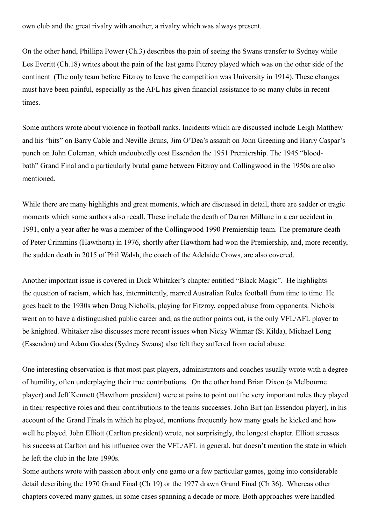<span id="page-23-0"></span>own club and the great rivalry with another, a rivalry which was always present.

On the other hand, Phillipa Power (Ch.3) describes the pain of seeing the Swans transfer to Sydney while Les Everitt (Ch.18) writes about the pain of the last game Fitzroy played which was on the other side of the continent (The only team before Fitzroy to leave the competition was University in 1914). These changes must have been painful, especially as the AFL has given financial assistance to so many clubs in recent times.

Some authors wrote about violence in football ranks. Incidents which are discussed include Leigh Matthew and his "hits" on Barry Cable and Neville Bruns, Jim O'Dea's assault on John Greening and Harry Caspar's punch on John Coleman, which undoubtedly cost Essendon the 1951 Premiership. The 1945 "bloodbath" Grand Final and a particularly brutal game between Fitzroy and Collingwood in the 1950s are also mentioned.

While there are many highlights and great moments, which are discussed in detail, there are sadder or tragic moments which some authors also recall. These include the death of Darren Millane in a car accident in 1991, only a year after he was a member of the Collingwood 1990 Premiership team. The premature death of Peter Crimmins (Hawthorn) in 1976, shortly after Hawthorn had won the Premiership, and, more recently, the sudden death in 2015 of Phil Walsh, the coach of the Adelaide Crows, are also covered.

Another important issue is covered in Dick Whitaker's chapter entitled "Black Magic". He highlights the question of racism, which has, intermittently, marred Australian Rules football from time to time. He goes back to the 1930s when Doug Nicholls, playing for Fitzroy, copped abuse from opponents. Nichols went on to have a distinguished public career and, as the author points out, is the only VFL/AFL player to be knighted. Whitaker also discusses more recent issues when Nicky Winmar (St Kilda), Michael Long (Essendon) and Adam Goodes (Sydney Swans) also felt they suffered from racial abuse.

One interesting observation is that most past players, administrators and coaches usually wrote with a degree of humility, often underplaying their true contributions. On the other hand Brian Dixon (a Melbourne player) and Jeff Kennett (Hawthorn president) were at pains to point out the very important roles they played in their respective roles and their contributions to the teams successes. John Birt (an Essendon player), in his account of the Grand Finals in which he played, mentions frequently how many goals he kicked and how well he played. John Elliott (Carlton president) wrote, not surprisingly, the longest chapter. Elliott stresses his success at Carlton and his influence over the VFL/AFL in general, but doesn't mention the state in which he left the club in the late 1990s.

Some authors wrote with passion about only one game or a few particular games, going into considerable detail describing the 1970 Grand Final (Ch 19) or the 1977 drawn Grand Final (Ch 36). Whereas other chapters covered many games, in some cases spanning a decade or more. Both approaches were handled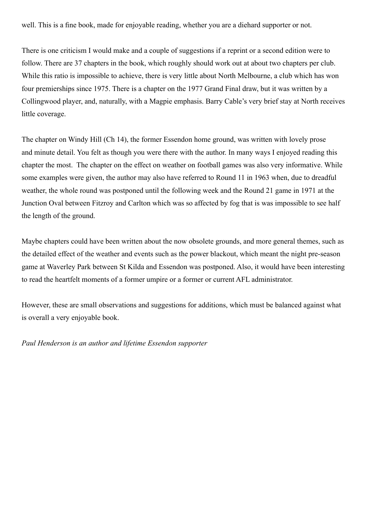well. This is a fine book, made for enjoyable reading, whether you are a diehard supporter or not.

There is one criticism I would make and a couple of suggestions if a reprint or a second edition were to follow. There are 37 chapters in the book, which roughly should work out at about two chapters per club. While this ratio is impossible to achieve, there is very little about North Melbourne, a club which has won four premierships since 1975. There is a chapter on the 1977 Grand Final draw, but it was written by a Collingwood player, and, naturally, with a Magpie emphasis. Barry Cable's very brief stay at North receives little coverage.

The chapter on Windy Hill (Ch 14), the former Essendon home ground, was written with lovely prose and minute detail. You felt as though you were there with the author. In many ways I enjoyed reading this chapter the most. The chapter on the effect on weather on football games was also very informative. While some examples were given, the author may also have referred to Round 11 in 1963 when, due to dreadful weather, the whole round was postponed until the following week and the Round 21 game in 1971 at the Junction Oval between Fitzroy and Carlton which was so affected by fog that is was impossible to see half the length of the ground.

Maybe chapters could have been written about the now obsolete grounds, and more general themes, such as the detailed effect of the weather and events such as the power blackout, which meant the night pre-season game at Waverley Park between St Kilda and Essendon was postponed. Also, it would have been interesting to read the heartfelt moments of a former umpire or a former or current AFL administrator.

However, these are small observations and suggestions for additions, which must be balanced against what is overall a very enjoyable book.

*Paul Henderson is an author and lifetime Essendon supporter*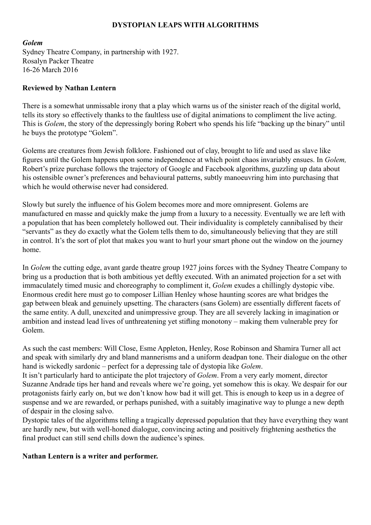#### **DYSTOPIAN LEAPS WITH ALGORITHMS**

#### <span id="page-25-0"></span>*Golem*

Sydney Theatre Company, in partnership with 1927. Rosalyn Packer Theatre 16-26 March 2016

#### **Reviewed by Nathan Lentern**

There is a somewhat unmissable irony that a play which warns us of the sinister reach of the digital world, tells its story so effectively thanks to the faultless use of digital animations to compliment the live acting. This is *Golem*, the story of the depressingly boring Robert who spends his life "backing up the binary" until he buys the prototype "Golem".

Golems are creatures from Jewish folklore. Fashioned out of clay, brought to life and used as slave like figures until the Golem happens upon some independence at which point chaos invariably ensues. In *Golem,*  Robert's prize purchase follows the trajectory of Google and Facebook algorithms, guzzling up data about his ostensible owner's preferences and behavioural patterns, subtly manoeuvring him into purchasing that which he would otherwise never had considered.

Slowly but surely the influence of his Golem becomes more and more omnipresent. Golems are manufactured en masse and quickly make the jump from a luxury to a necessity. Eventually we are left with a population that has been completely hollowed out. Their individuality is completely cannibalised by their "servants" as they do exactly what the Golem tells them to do, simultaneously believing that they are still in control. It's the sort of plot that makes you want to hurl your smart phone out the window on the journey home.

In *Golem* the cutting edge, avant garde theatre group 1927 joins forces with the Sydney Theatre Company to bring us a production that is both ambitious yet deftly executed. With an animated projection for a set with immaculately timed music and choreography to compliment it, *Golem* exudes a chillingly dystopic vibe. Enormous credit here must go to composer Lillian Henley whose haunting scores are what bridges the gap between bleak and genuinely upsetting. The characters (sans Golem) are essentially different facets of the same entity. A dull, unexcited and unimpressive group. They are all severely lacking in imagination or ambition and instead lead lives of unthreatening yet stifling monotony – making them vulnerable prey for Golem.

As such the cast members: Will Close, Esme Appleton, Henley, Rose Robinson and Shamira Turner all act and speak with similarly dry and bland mannerisms and a uniform deadpan tone. Their dialogue on the other hand is wickedly sardonic – perfect for a depressing tale of dystopia like *Golem*.

It isn't particularly hard to anticipate the plot trajectory of *Golem*. From a very early moment, director Suzanne Andrade tips her hand and reveals where we're going, yet somehow this is okay. We despair for our protagonists fairly early on, but we don't know how bad it will get. This is enough to keep us in a degree of suspense and we are rewarded, or perhaps punished, with a suitably imaginative way to plunge a new depth of despair in the closing salvo.

Dystopic tales of the algorithms telling a tragically depressed population that they have everything they want are hardly new, but with well-honed dialogue, convincing acting and positively frightening aesthetics the final product can still send chills down the audience's spines.

#### **Nathan Lentern is a writer and performer.**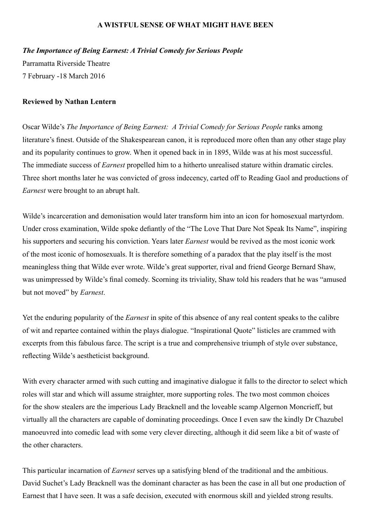#### **A WISTFUL SENSE OF WHAT MIGHT HAVE BEEN**

*The Importance of Being Earnest: A Trivial Comedy for Serious People*

Parramatta Riverside Theatre 7 February -18 March 2016

#### **Reviewed by Nathan Lentern**

Oscar Wilde's *The Importance of Being Earnest: A Trivial Comedy for Serious People* ranks among literature's finest. Outside of the Shakespearean canon, it is reproduced more often than any other stage play and its popularity continues to grow. When it opened back in in 1895, Wilde was at his most successful. The immediate success of *Earnest* propelled him to a hitherto unrealised stature within dramatic circles. Three short months later he was convicted of gross indecency, carted off to Reading Gaol and productions of *Earnest* were brought to an abrupt halt.

Wilde's incarceration and demonisation would later transform him into an icon for homosexual martyrdom. Under cross examination, Wilde spoke defiantly of the "The Love That Dare Not Speak Its Name", inspiring his supporters and securing his conviction. Years later *Earnest* would be revived as the most iconic work of the most iconic of homosexuals. It is therefore something of a paradox that the play itself is the most meaningless thing that Wilde ever wrote. Wilde's great supporter, rival and friend George Bernard Shaw, was unimpressed by Wilde's final comedy. Scorning its triviality, Shaw told his readers that he was "amused but not moved" by *Earnest*.

Yet the enduring popularity of the *Earnest* in spite of this absence of any real content speaks to the calibre of wit and repartee contained within the plays dialogue. "Inspirational Quote" listicles are crammed with excerpts from this fabulous farce. The script is a true and comprehensive triumph of style over substance, reflecting Wilde's aestheticist background.

With every character armed with such cutting and imaginative dialogue it falls to the director to select which roles will star and which will assume straighter, more supporting roles. The two most common choices for the show stealers are the imperious Lady Bracknell and the loveable scamp Algernon Moncrieff, but virtually all the characters are capable of dominating proceedings. Once I even saw the kindly Dr Chazubel manoeuvred into comedic lead with some very clever directing, although it did seem like a bit of waste of the other characters.

This particular incarnation of *Earnest* serves up a satisfying blend of the traditional and the ambitious. David Suchet's Lady Bracknell was the dominant character as has been the case in all but one production of Earnest that I have seen. It was a safe decision, executed with enormous skill and yielded strong results.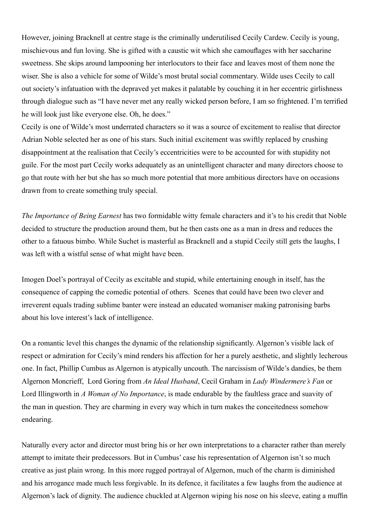<span id="page-27-0"></span>However, joining Bracknell at centre stage is the criminally underutilised Cecily Cardew. Cecily is young, mischievous and fun loving. She is gifted with a caustic wit which she camouflages with her saccharine sweetness. She skips around lampooning her interlocutors to their face and leaves most of them none the wiser. She is also a vehicle for some of Wilde's most brutal social commentary. Wilde uses Cecily to call out society's infatuation with the depraved yet makes it palatable by couching it in her eccentric girlishness through dialogue such as "I have never met any really wicked person before, I am so frightened. I'm terrified he will look just like everyone else. Oh, he does."

Cecily is one of Wilde's most underrated characters so it was a source of excitement to realise that director Adrian Noble selected her as one of his stars. Such initial excitement was swiftly replaced by crushing disappointment at the realisation that Cecily's eccentricities were to be accounted for with stupidity not guile. For the most part Cecily works adequately as an unintelligent character and many directors choose to go that route with her but she has so much more potential that more ambitious directors have on occasions drawn from to create something truly special.

*The Importance of Being Earnest* has two formidable witty female characters and it's to his credit that Noble decided to structure the production around them, but he then casts one as a man in dress and reduces the other to a fatuous bimbo. While Suchet is masterful as Bracknell and a stupid Cecily still gets the laughs, I was left with a wistful sense of what might have been.

Imogen Doel's portrayal of Cecily as excitable and stupid, while entertaining enough in itself, has the consequence of capping the comedic potential of others. Scenes that could have been two clever and irreverent equals trading sublime banter were instead an educated womaniser making patronising barbs about his love interest's lack of intelligence.

On a romantic level this changes the dynamic of the relationship significantly. Algernon's visible lack of respect or admiration for Cecily's mind renders his affection for her a purely aesthetic, and slightly lecherous one. In fact, Phillip Cumbus as Algernon is atypically uncouth. The narcissism of Wilde's dandies, be them Algernon Moncrieff, Lord Goring from *An Ideal Husband*, Cecil Graham in *Lady Windermere's Fan* or Lord Illingworth in *A Woman of No Importance*, is made endurable by the faultless grace and suavity of the man in question. They are charming in every way which in turn makes the conceitedness somehow endearing.

Naturally every actor and director must bring his or her own interpretations to a character rather than merely attempt to imitate their predecessors. But in Cumbus' case his representation of Algernon isn't so much creative as just plain wrong. In this more rugged portrayal of Algernon, much of the charm is diminished and his arrogance made much less forgivable. In its defence, it facilitates a few laughs from the audience at Algernon's lack of dignity. The audience chuckled at Algernon wiping his nose on his sleeve, eating a muffin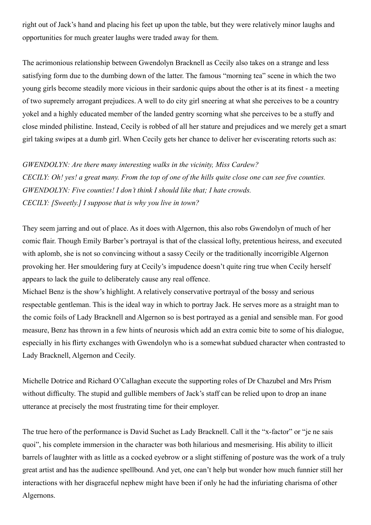right out of Jack's hand and placing his feet up upon the table, but they were relatively minor laughs and opportunities for much greater laughs were traded away for them.

The acrimonious relationship between Gwendolyn Bracknell as Cecily also takes on a strange and less satisfying form due to the dumbing down of the latter. The famous "morning tea" scene in which the two young girls become steadily more vicious in their sardonic quips about the other is at its finest - a meeting of two supremely arrogant prejudices. A well to do city girl sneering at what she perceives to be a country yokel and a highly educated member of the landed gentry scorning what she perceives to be a stuffy and close minded philistine. Instead, Cecily is robbed of all her stature and prejudices and we merely get a smart girl taking swipes at a dumb girl. When Cecily gets her chance to deliver her eviscerating retorts such as:

*GWENDOLYN: Are there many interesting walks in the vicinity, Miss Cardew? CECILY: Oh! yes! a great many. From the top of one of the hills quite close one can see five counties. GWENDOLYN: Five counties! I don't think I should like that; I hate crowds. CECILY: [Sweetly.] I suppose that is why you live in town?*

They seem jarring and out of place. As it does with Algernon, this also robs Gwendolyn of much of her comic flair. Though Emily Barber's portrayal is that of the classical lofty, pretentious heiress, and executed with aplomb, she is not so convincing without a sassy Cecily or the traditionally incorrigible Algernon provoking her. Her smouldering fury at Cecily's impudence doesn't quite ring true when Cecily herself appears to lack the guile to deliberately cause any real offence.

Michael Benz is the show's highlight. A relatively conservative portrayal of the bossy and serious respectable gentleman. This is the ideal way in which to portray Jack. He serves more as a straight man to the comic foils of Lady Bracknell and Algernon so is best portrayed as a genial and sensible man. For good measure, Benz has thrown in a few hints of neurosis which add an extra comic bite to some of his dialogue, especially in his flirty exchanges with Gwendolyn who is a somewhat subdued character when contrasted to Lady Bracknell, Algernon and Cecily.

Michelle Dotrice and Richard O'Callaghan execute the supporting roles of Dr Chazubel and Mrs Prism without difficulty. The stupid and gullible members of Jack's staff can be relied upon to drop an inane utterance at precisely the most frustrating time for their employer.

The true hero of the performance is David Suchet as Lady Bracknell. Call it the "x-factor" or "je ne sais quoi", his complete immersion in the character was both hilarious and mesmerising. His ability to illicit barrels of laughter with as little as a cocked eyebrow or a slight stiffening of posture was the work of a truly great artist and has the audience spellbound. And yet, one can't help but wonder how much funnier still her interactions with her disgraceful nephew might have been if only he had the infuriating charisma of other Algernons.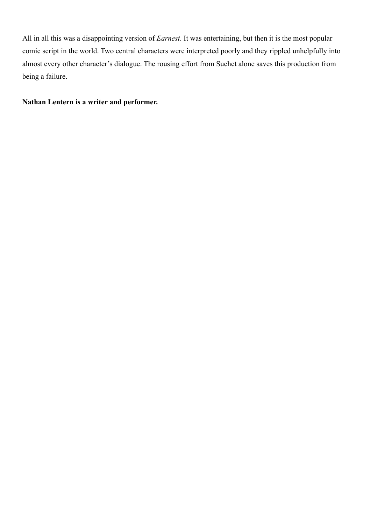All in all this was a disappointing version of *Earnest*. It was entertaining, but then it is the most popular comic script in the world. Two central characters were interpreted poorly and they rippled unhelpfully into almost every other character's dialogue. The rousing effort from Suchet alone saves this production from being a failure.

#### **Nathan Lentern is a writer and performer.**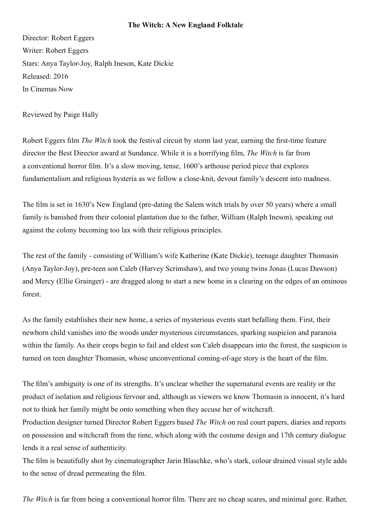#### **The Witch: A New England Folktale**

Director: Robert Eggers Writer: Robert Eggers Stars: Anya Taylor-Joy, Ralph Ineson, Kate Dickie Released: 2016 In Cinemas Now

Reviewed by Paige Hally

Robert Eggers film *The Witch* took the festival circuit by storm last year, earning the first-time feature director the Best Director award at Sundance. While it is a horrifying film, *The Witch* is far from a conventional horror film. It's a slow moving, tense, 1600's arthouse period piece that explores fundamentalism and religious hysteria as we follow a close-knit, devout family's descent into madness.

The film is set in 1630's New England (pre-dating the Salem witch trials by over 50 years) where a small family is banished from their colonial plantation due to the father, William (Ralph Ineson), speaking out against the colony becoming too lax with their religious principles.

The rest of the family - consisting of William's wife Katherine (Kate Dickie), teenage daughter Thomasin (Anya Taylor-Joy), pre-teen son Caleb (Harvey Scrimshaw), and two young twins Jonas (Lucas Dawson) and Mercy (Ellie Grainger) - are dragged along to start a new home in a clearing on the edges of an ominous forest.

As the family establishes their new home, a series of mysterious events start befalling them. First, their newborn child vanishes into the woods under mysterious circumstances, sparking suspicion and paranoia within the family. As their crops begin to fail and eldest son Caleb disappears into the forest, the suspicion is turned on teen daughter Thomasin, whose unconventional coming-of-age story is the heart of the film.

The film's ambiguity is one of its strengths. It's unclear whether the supernatural events are reality or the product of isolation and religious fervour and, although as viewers we know Thomasin is innocent, it's hard not to think her family might be onto something when they accuse her of witchcraft.

Production designer turned Director Robert Eggers based *The Witch* on real court papers, diaries and reports on possession and witchcraft from the time, which along with the costume design and 17th century dialogue lends it a real sense of authenticity.

The film is beautifully shot by cinematographer Jarin Blaschke, who's stark, colour drained visual style adds to the sense of dread permeating the film.

*The Witch* is far from being a conventional horror film. There are no cheap scares, and minimal gore. Rather,